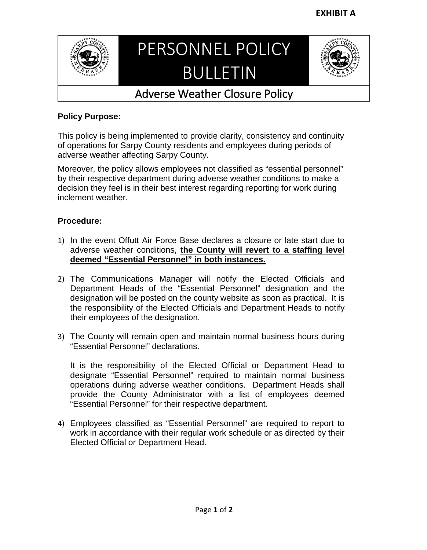

## PERSONNEL POLICY BULLETIN



## Adverse Weather Closure Policy

## **Policy Purpose:**

This policy is being implemented to provide clarity, consistency and continuity of operations for Sarpy County residents and employees during periods of adverse weather affecting Sarpy County.

Moreover, the policy allows employees not classified as "essential personnel" by their respective department during adverse weather conditions to make a decision they feel is in their best interest regarding reporting for work during inclement weather.

## **Procedure:**

- 1) In the event Offutt Air Force Base declares a closure or late start due to adverse weather conditions, **the County will revert to a staffing level deemed "Essential Personnel" in both instances.**
- 2) The Communications Manager will notify the Elected Officials and Department Heads of the "Essential Personnel" designation and the designation will be posted on the county website as soon as practical. It is the responsibility of the Elected Officials and Department Heads to notify their employees of the designation.
- 3) The County will remain open and maintain normal business hours during "Essential Personnel" declarations.

It is the responsibility of the Elected Official or Department Head to designate "Essential Personnel" required to maintain normal business operations during adverse weather conditions. Department Heads shall provide the County Administrator with a list of employees deemed "Essential Personnel" for their respective department.

4) Employees classified as "Essential Personnel" are required to report to work in accordance with their regular work schedule or as directed by their Elected Official or Department Head.